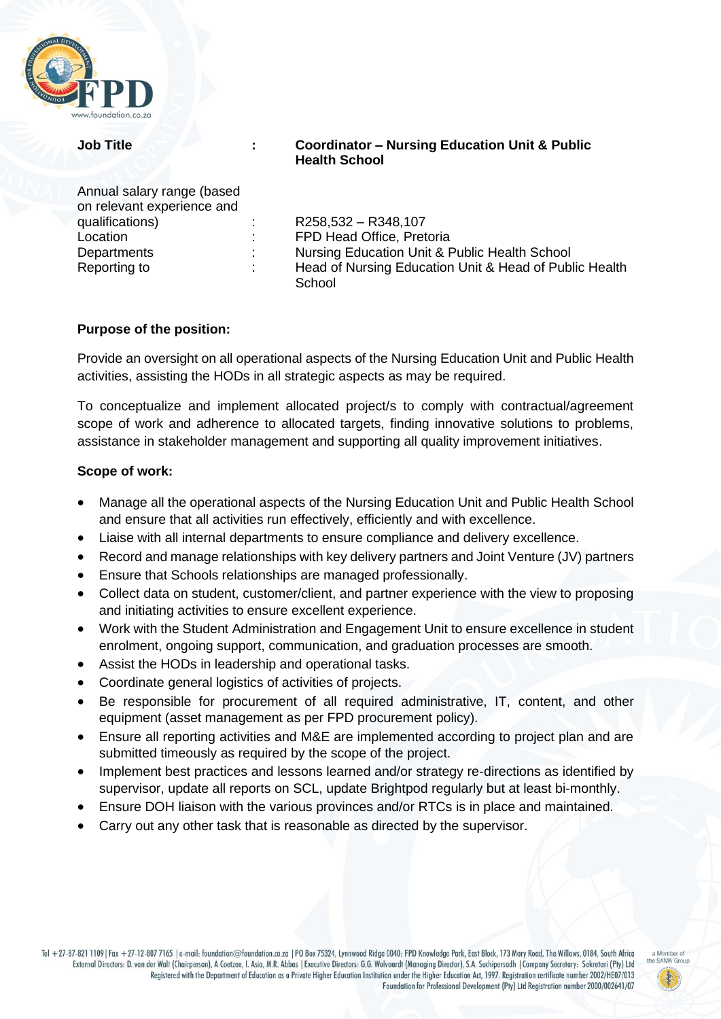

| Annual salary range (based |
|----------------------------|
| on relevant experience and |
| qualifications)            |
| Location                   |
| Departments                |
| Reporting to               |

### **Job Title : Coordinator – Nursing Education Unit & Public Health School**

qualifications) : R258,532 – R348,107 FPD Head Office, Pretoria Nursing Education Unit & Public Health School Head of Nursing Education Unit & Head of Public Health **School** 

# **Purpose of the position:**

Provide an oversight on all operational aspects of the Nursing Education Unit and Public Health activities, assisting the HODs in all strategic aspects as may be required.

To conceptualize and implement allocated project/s to comply with contractual/agreement scope of work and adherence to allocated targets, finding innovative solutions to problems, assistance in stakeholder management and supporting all quality improvement initiatives.

### **Scope of work:**

- Manage all the operational aspects of the Nursing Education Unit and Public Health School and ensure that all activities run effectively, efficiently and with excellence.
- Liaise with all internal departments to ensure compliance and delivery excellence.
- Record and manage relationships with key delivery partners and Joint Venture (JV) partners
- Ensure that Schools relationships are managed professionally.
- Collect data on student, customer/client, and partner experience with the view to proposing and initiating activities to ensure excellent experience.
- Work with the Student Administration and Engagement Unit to ensure excellence in student enrolment, ongoing support, communication, and graduation processes are smooth.
- Assist the HODs in leadership and operational tasks.
- Coordinate general logistics of activities of projects.
- Be responsible for procurement of all required administrative, IT, content, and other equipment (asset management as per FPD procurement policy).
- Ensure all reporting activities and M&E are implemented according to project plan and are submitted timeously as required by the scope of the project.
- Implement best practices and lessons learned and/or strategy re-directions as identified by supervisor, update all reports on SCL, update Brightpod regularly but at least bi-monthly.
- Ensure DOH liaison with the various provinces and/or RTCs is in place and maintained.
- Carry out any other task that is reasonable as directed by the supervisor.